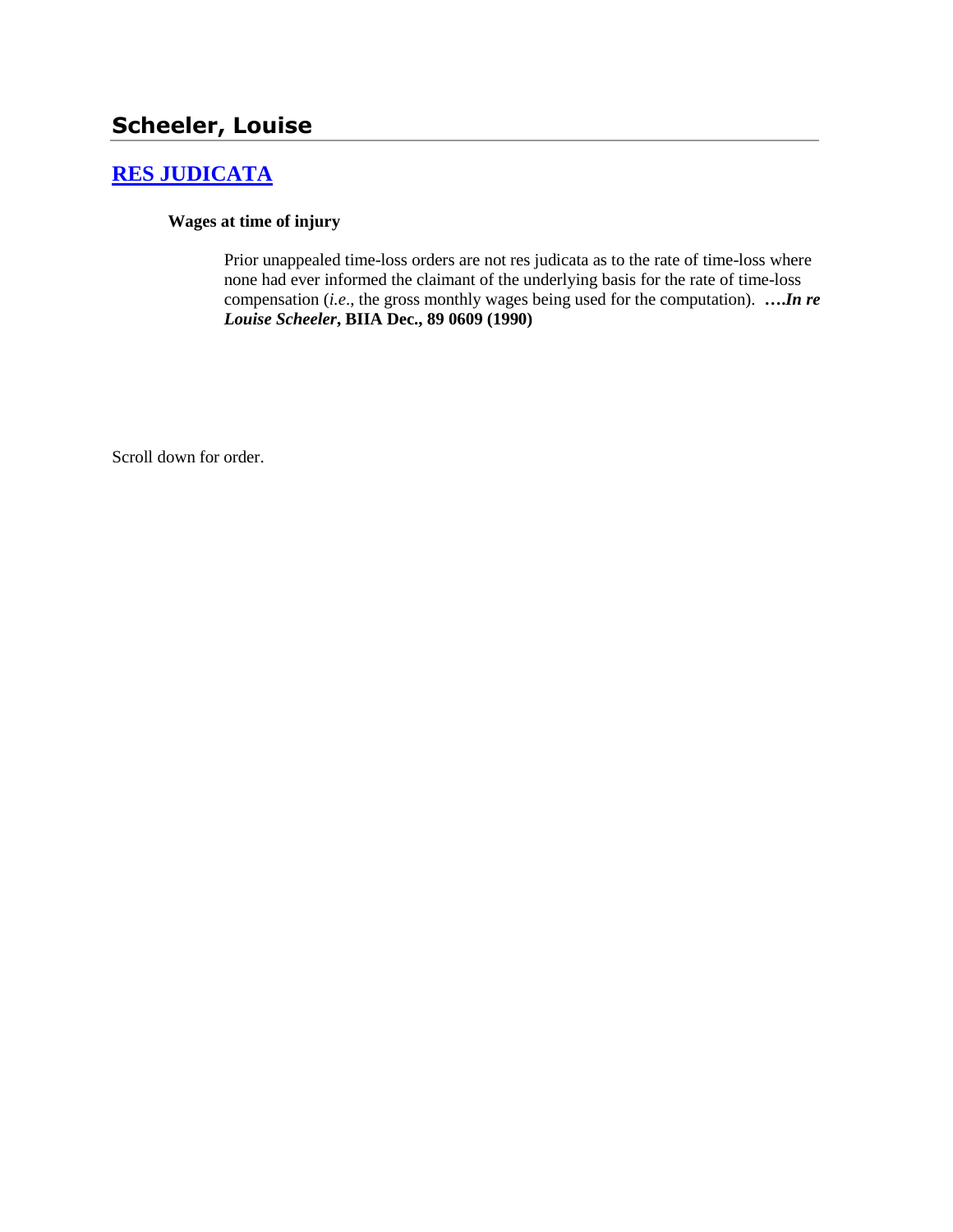# **[RES JUDICATA](http://www.biia.wa.gov/SDSubjectIndex.html#RES_JUDICATA)**

#### **Wages at time of injury**

Prior unappealed time-loss orders are not res judicata as to the rate of time-loss where none had ever informed the claimant of the underlying basis for the rate of time-loss compensation (*i.e*., the gross monthly wages being used for the computation). **….***In re Louise Scheeler***, BIIA Dec., 89 0609 (1990)** 

Scroll down for order.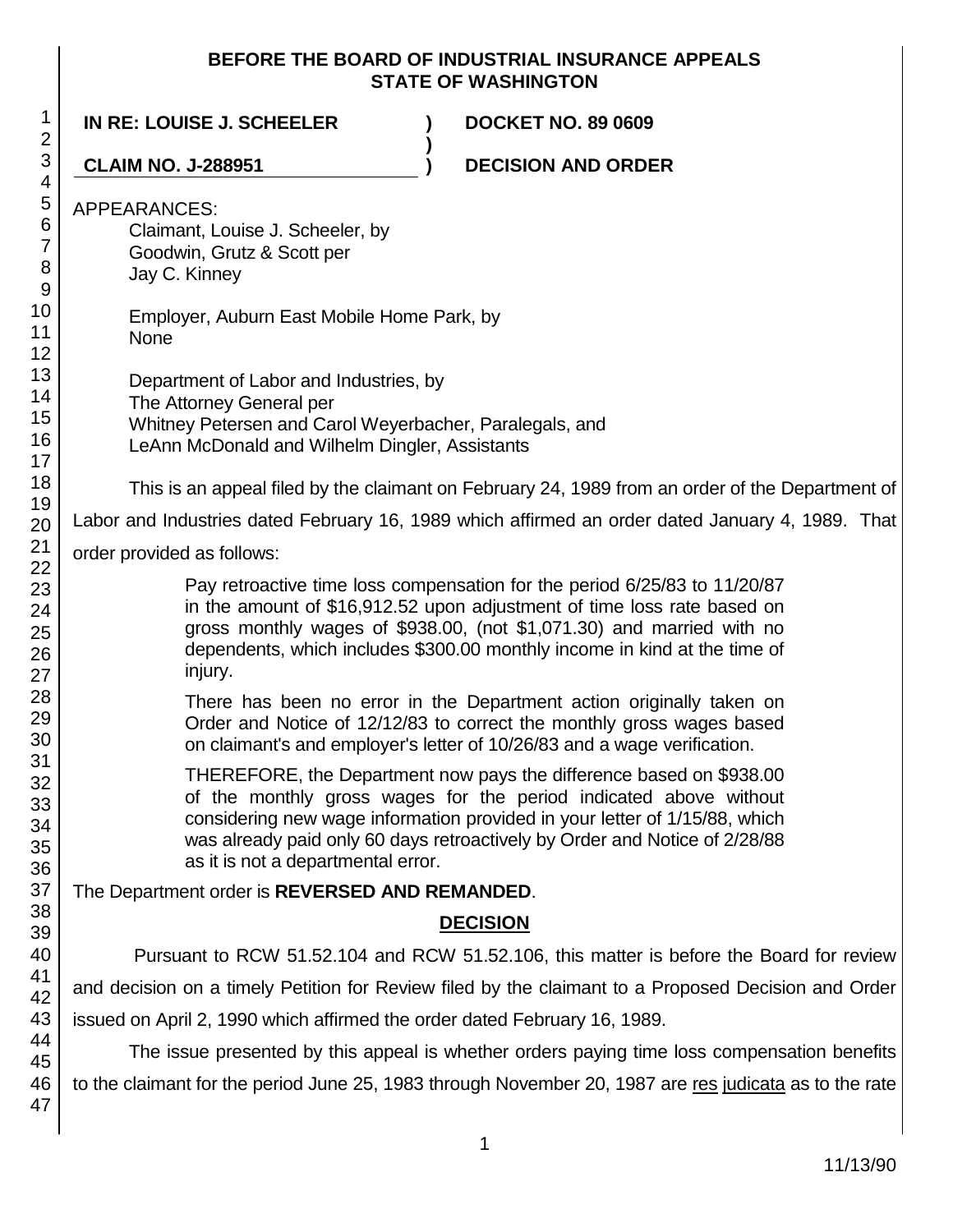### **BEFORE THE BOARD OF INDUSTRIAL INSURANCE APPEALS STATE OF WASHINGTON**

| $\mathbf 1$<br>$\overline{2}$                                                                                                                                                        | IN RE: LOUISE J. SCHEELER<br><b>DOCKET NO. 89 0609</b>                                                                                                                                                                                                                                                                                                                                                                                                                                                                                                                                                                                                                                                                                                                                                                                                                                                                                                                                                                                                                                                                                     |  |  |
|--------------------------------------------------------------------------------------------------------------------------------------------------------------------------------------|--------------------------------------------------------------------------------------------------------------------------------------------------------------------------------------------------------------------------------------------------------------------------------------------------------------------------------------------------------------------------------------------------------------------------------------------------------------------------------------------------------------------------------------------------------------------------------------------------------------------------------------------------------------------------------------------------------------------------------------------------------------------------------------------------------------------------------------------------------------------------------------------------------------------------------------------------------------------------------------------------------------------------------------------------------------------------------------------------------------------------------------------|--|--|
| 3                                                                                                                                                                                    | <b>CLAIM NO. J-288951</b><br><b>DECISION AND ORDER</b>                                                                                                                                                                                                                                                                                                                                                                                                                                                                                                                                                                                                                                                                                                                                                                                                                                                                                                                                                                                                                                                                                     |  |  |
| 4<br>5<br>6<br>$\overline{7}$<br>8<br>$\boldsymbol{9}$<br>10<br>11<br>12<br>13<br>14<br>15<br>16<br>17<br>18<br>19<br>20<br>21<br>22<br>23<br>24<br>25<br>26<br>27<br>28<br>29<br>30 | <b>APPEARANCES:</b><br>Claimant, Louise J. Scheeler, by<br>Goodwin, Grutz & Scott per<br>Jay C. Kinney<br>Employer, Auburn East Mobile Home Park, by<br>None<br>Department of Labor and Industries, by<br>The Attorney General per<br>Whitney Petersen and Carol Weyerbacher, Paralegals, and<br>LeAnn McDonald and Wilhelm Dingler, Assistants<br>This is an appeal filed by the claimant on February 24, 1989 from an order of the Department of<br>Labor and Industries dated February 16, 1989 which affirmed an order dated January 4, 1989. That<br>order provided as follows:<br>Pay retroactive time loss compensation for the period 6/25/83 to 11/20/87<br>in the amount of \$16,912.52 upon adjustment of time loss rate based on<br>gross monthly wages of \$938.00, (not \$1,071.30) and married with no<br>dependents, which includes \$300.00 monthly income in kind at the time of<br>injury.<br>There has been no error in the Department action originally taken on<br>Order and Notice of 12/12/83 to correct the monthly gross wages based<br>on claimant's and employer's letter of 10/26/83 and a wage verification. |  |  |
| 31<br>32<br>33<br>34<br>35<br>36                                                                                                                                                     | THEREFORE, the Department now pays the difference based on \$938.00<br>of the monthly gross wages for the period indicated above without<br>considering new wage information provided in your letter of 1/15/88, which<br>was already paid only 60 days retroactively by Order and Notice of 2/28/88<br>as it is not a departmental error.                                                                                                                                                                                                                                                                                                                                                                                                                                                                                                                                                                                                                                                                                                                                                                                                 |  |  |
| 37                                                                                                                                                                                   | The Department order is REVERSED AND REMANDED.                                                                                                                                                                                                                                                                                                                                                                                                                                                                                                                                                                                                                                                                                                                                                                                                                                                                                                                                                                                                                                                                                             |  |  |
| 38<br>39                                                                                                                                                                             | <b>DECISION</b>                                                                                                                                                                                                                                                                                                                                                                                                                                                                                                                                                                                                                                                                                                                                                                                                                                                                                                                                                                                                                                                                                                                            |  |  |
| 40<br>41                                                                                                                                                                             | Pursuant to RCW 51.52.104 and RCW 51.52.106, this matter is before the Board for review<br>and decision on a timely Petition for Review filed by the claimant to a Proposed Decision and Order<br>issued on April 2, 1990 which affirmed the order dated February 16, 1989.<br>The issue presented by this appeal is whether orders paying time loss compensation benefits                                                                                                                                                                                                                                                                                                                                                                                                                                                                                                                                                                                                                                                                                                                                                                 |  |  |
| 42                                                                                                                                                                                   |                                                                                                                                                                                                                                                                                                                                                                                                                                                                                                                                                                                                                                                                                                                                                                                                                                                                                                                                                                                                                                                                                                                                            |  |  |
| 43                                                                                                                                                                                   |                                                                                                                                                                                                                                                                                                                                                                                                                                                                                                                                                                                                                                                                                                                                                                                                                                                                                                                                                                                                                                                                                                                                            |  |  |
| 44<br>45                                                                                                                                                                             |                                                                                                                                                                                                                                                                                                                                                                                                                                                                                                                                                                                                                                                                                                                                                                                                                                                                                                                                                                                                                                                                                                                                            |  |  |
| 46<br>47                                                                                                                                                                             | to the claimant for the period June 25, 1983 through November 20, 1987 are res judicata as to the rate                                                                                                                                                                                                                                                                                                                                                                                                                                                                                                                                                                                                                                                                                                                                                                                                                                                                                                                                                                                                                                     |  |  |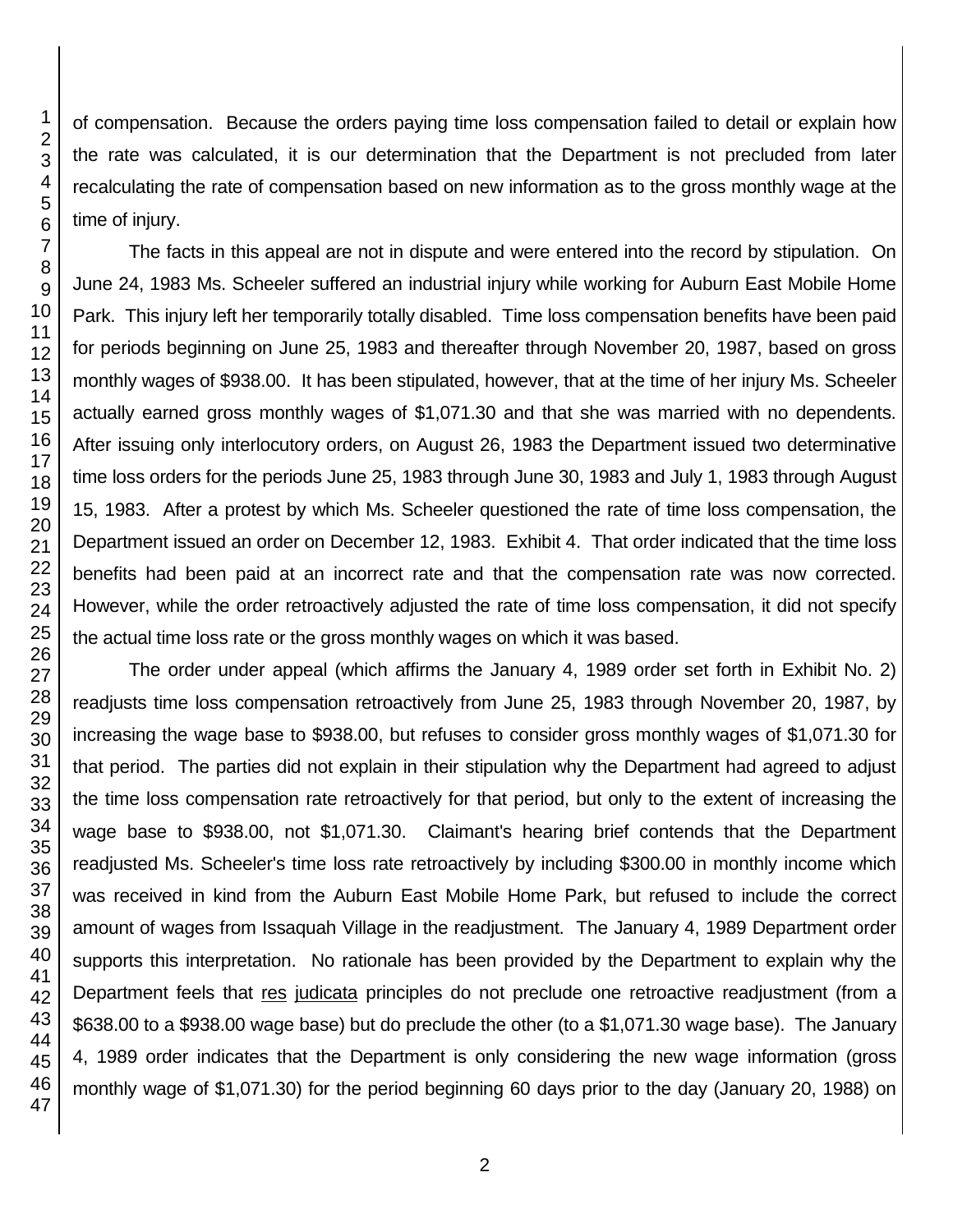of compensation. Because the orders paying time loss compensation failed to detail or explain how the rate was calculated, it is our determination that the Department is not precluded from later recalculating the rate of compensation based on new information as to the gross monthly wage at the time of injury.

The facts in this appeal are not in dispute and were entered into the record by stipulation. On June 24, 1983 Ms. Scheeler suffered an industrial injury while working for Auburn East Mobile Home Park. This injury left her temporarily totally disabled. Time loss compensation benefits have been paid for periods beginning on June 25, 1983 and thereafter through November 20, 1987, based on gross monthly wages of \$938.00. It has been stipulated, however, that at the time of her injury Ms. Scheeler actually earned gross monthly wages of \$1,071.30 and that she was married with no dependents. After issuing only interlocutory orders, on August 26, 1983 the Department issued two determinative time loss orders for the periods June 25, 1983 through June 30, 1983 and July 1, 1983 through August 15, 1983. After a protest by which Ms. Scheeler questioned the rate of time loss compensation, the Department issued an order on December 12, 1983. Exhibit 4. That order indicated that the time loss benefits had been paid at an incorrect rate and that the compensation rate was now corrected. However, while the order retroactively adjusted the rate of time loss compensation, it did not specify the actual time loss rate or the gross monthly wages on which it was based.

The order under appeal (which affirms the January 4, 1989 order set forth in Exhibit No. 2) readjusts time loss compensation retroactively from June 25, 1983 through November 20, 1987, by increasing the wage base to \$938.00, but refuses to consider gross monthly wages of \$1,071.30 for that period. The parties did not explain in their stipulation why the Department had agreed to adjust the time loss compensation rate retroactively for that period, but only to the extent of increasing the wage base to \$938.00, not \$1,071.30. Claimant's hearing brief contends that the Department readjusted Ms. Scheeler's time loss rate retroactively by including \$300.00 in monthly income which was received in kind from the Auburn East Mobile Home Park, but refused to include the correct amount of wages from Issaquah Village in the readjustment. The January 4, 1989 Department order supports this interpretation. No rationale has been provided by the Department to explain why the Department feels that res judicata principles do not preclude one retroactive readjustment (from a \$638.00 to a \$938.00 wage base) but do preclude the other (to a \$1,071.30 wage base). The January 4, 1989 order indicates that the Department is only considering the new wage information (gross monthly wage of \$1,071.30) for the period beginning 60 days prior to the day (January 20, 1988) on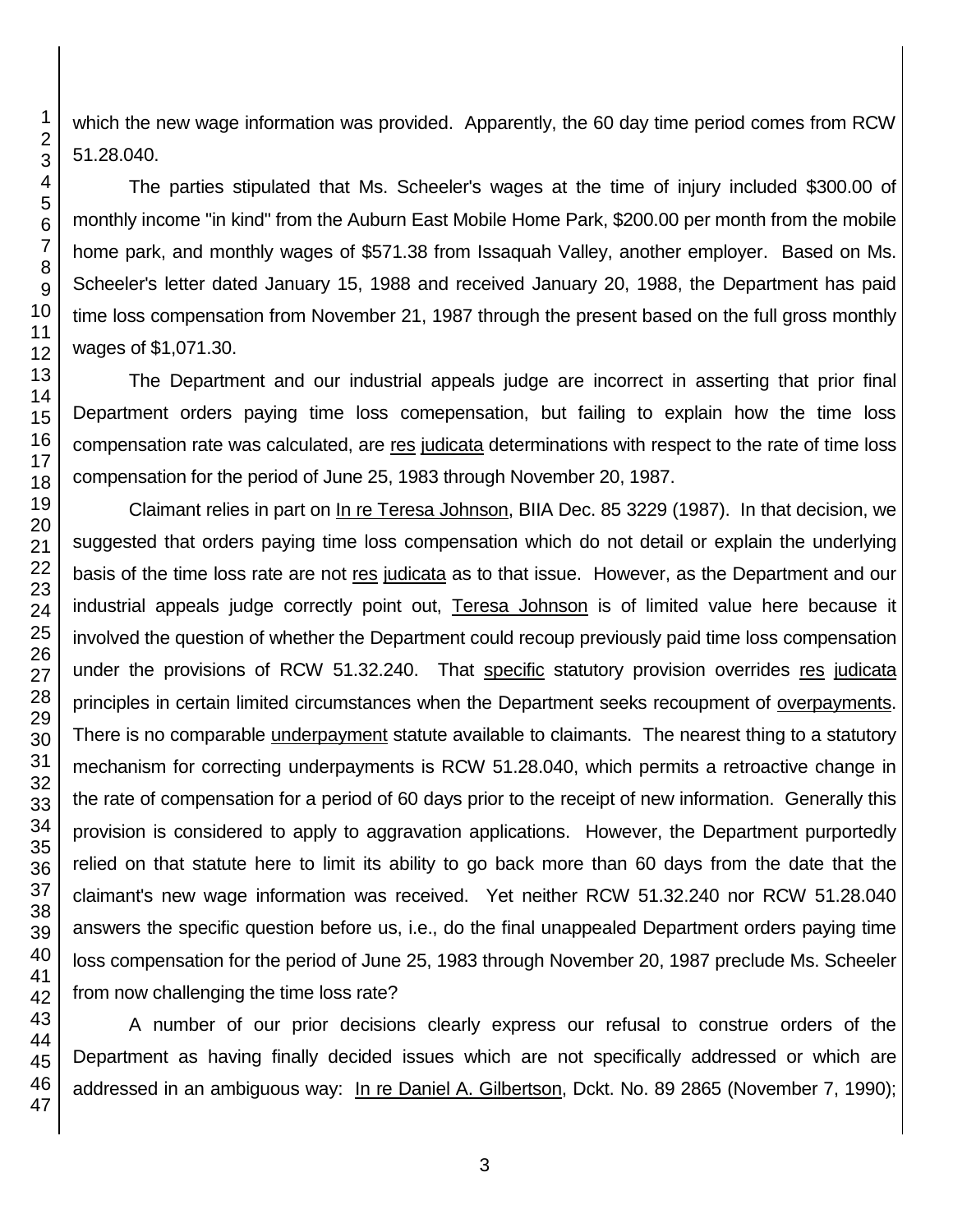which the new wage information was provided. Apparently, the 60 day time period comes from RCW 51.28.040.

The parties stipulated that Ms. Scheeler's wages at the time of injury included \$300.00 of monthly income "in kind" from the Auburn East Mobile Home Park, \$200.00 per month from the mobile home park, and monthly wages of \$571.38 from Issaquah Valley, another employer. Based on Ms. Scheeler's letter dated January 15, 1988 and received January 20, 1988, the Department has paid time loss compensation from November 21, 1987 through the present based on the full gross monthly wages of \$1,071.30.

The Department and our industrial appeals judge are incorrect in asserting that prior final Department orders paying time loss comepensation, but failing to explain how the time loss compensation rate was calculated, are res judicata determinations with respect to the rate of time loss compensation for the period of June 25, 1983 through November 20, 1987.

Claimant relies in part on In re Teresa Johnson, BIIA Dec. 85 3229 (1987). In that decision, we suggested that orders paying time loss compensation which do not detail or explain the underlying basis of the time loss rate are not res judicata as to that issue. However, as the Department and our industrial appeals judge correctly point out, Teresa Johnson is of limited value here because it involved the question of whether the Department could recoup previously paid time loss compensation under the provisions of RCW 51.32.240. That specific statutory provision overrides res judicata principles in certain limited circumstances when the Department seeks recoupment of overpayments. There is no comparable underpayment statute available to claimants. The nearest thing to a statutory mechanism for correcting underpayments is RCW 51.28.040, which permits a retroactive change in the rate of compensation for a period of 60 days prior to the receipt of new information. Generally this provision is considered to apply to aggravation applications. However, the Department purportedly relied on that statute here to limit its ability to go back more than 60 days from the date that the claimant's new wage information was received. Yet neither RCW 51.32.240 nor RCW 51.28.040 answers the specific question before us, i.e., do the final unappealed Department orders paying time loss compensation for the period of June 25, 1983 through November 20, 1987 preclude Ms. Scheeler from now challenging the time loss rate?

A number of our prior decisions clearly express our refusal to construe orders of the Department as having finally decided issues which are not specifically addressed or which are addressed in an ambiguous way: In re Daniel A. Gilbertson, Dckt. No. 89 2865 (November 7, 1990);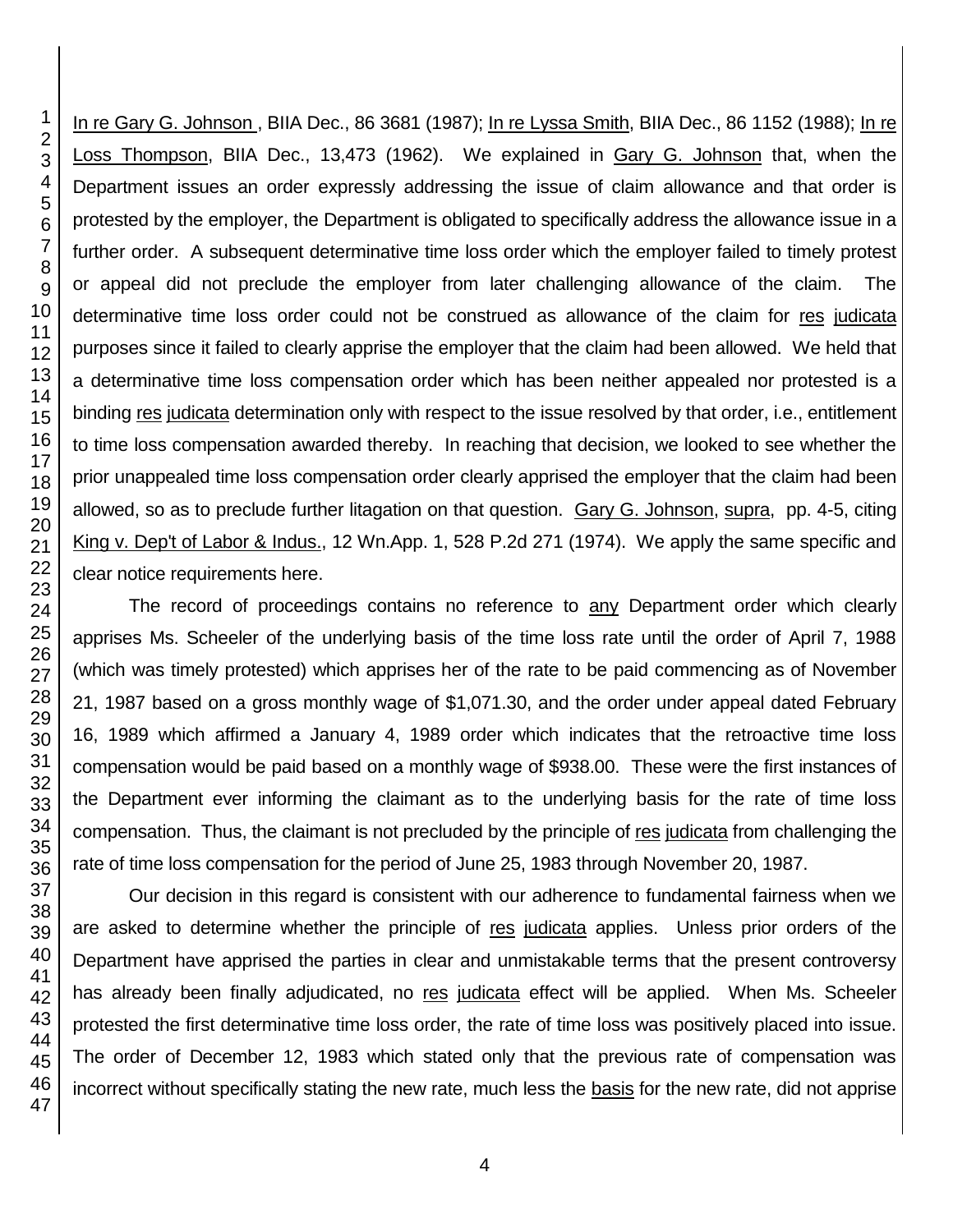In re Gary G. Johnson , BIIA Dec., 86 3681 (1987); In re Lyssa Smith, BIIA Dec., 86 1152 (1988); In re Loss Thompson, BIIA Dec., 13,473 (1962). We explained in Gary G. Johnson that, when the Department issues an order expressly addressing the issue of claim allowance and that order is protested by the employer, the Department is obligated to specifically address the allowance issue in a further order. A subsequent determinative time loss order which the employer failed to timely protest or appeal did not preclude the employer from later challenging allowance of the claim. The determinative time loss order could not be construed as allowance of the claim for res judicata purposes since it failed to clearly apprise the employer that the claim had been allowed. We held that a determinative time loss compensation order which has been neither appealed nor protested is a binding res judicata determination only with respect to the issue resolved by that order, i.e., entitlement to time loss compensation awarded thereby. In reaching that decision, we looked to see whether the prior unappealed time loss compensation order clearly apprised the employer that the claim had been allowed, so as to preclude further litagation on that question. Gary G. Johnson, supra, pp. 4-5, citing King v. Dep't of Labor & Indus., 12 Wn.App. 1, 528 P.2d 271 (1974). We apply the same specific and clear notice requirements here.

The record of proceedings contains no reference to any Department order which clearly apprises Ms. Scheeler of the underlying basis of the time loss rate until the order of April 7, 1988 (which was timely protested) which apprises her of the rate to be paid commencing as of November 21, 1987 based on a gross monthly wage of \$1,071.30, and the order under appeal dated February 16, 1989 which affirmed a January 4, 1989 order which indicates that the retroactive time loss compensation would be paid based on a monthly wage of \$938.00. These were the first instances of the Department ever informing the claimant as to the underlying basis for the rate of time loss compensation. Thus, the claimant is not precluded by the principle of res judicata from challenging the rate of time loss compensation for the period of June 25, 1983 through November 20, 1987.

Our decision in this regard is consistent with our adherence to fundamental fairness when we are asked to determine whether the principle of res judicata applies. Unless prior orders of the Department have apprised the parties in clear and unmistakable terms that the present controversy has already been finally adjudicated, no res judicata effect will be applied. When Ms. Scheeler protested the first determinative time loss order, the rate of time loss was positively placed into issue. The order of December 12, 1983 which stated only that the previous rate of compensation was incorrect without specifically stating the new rate, much less the basis for the new rate, did not apprise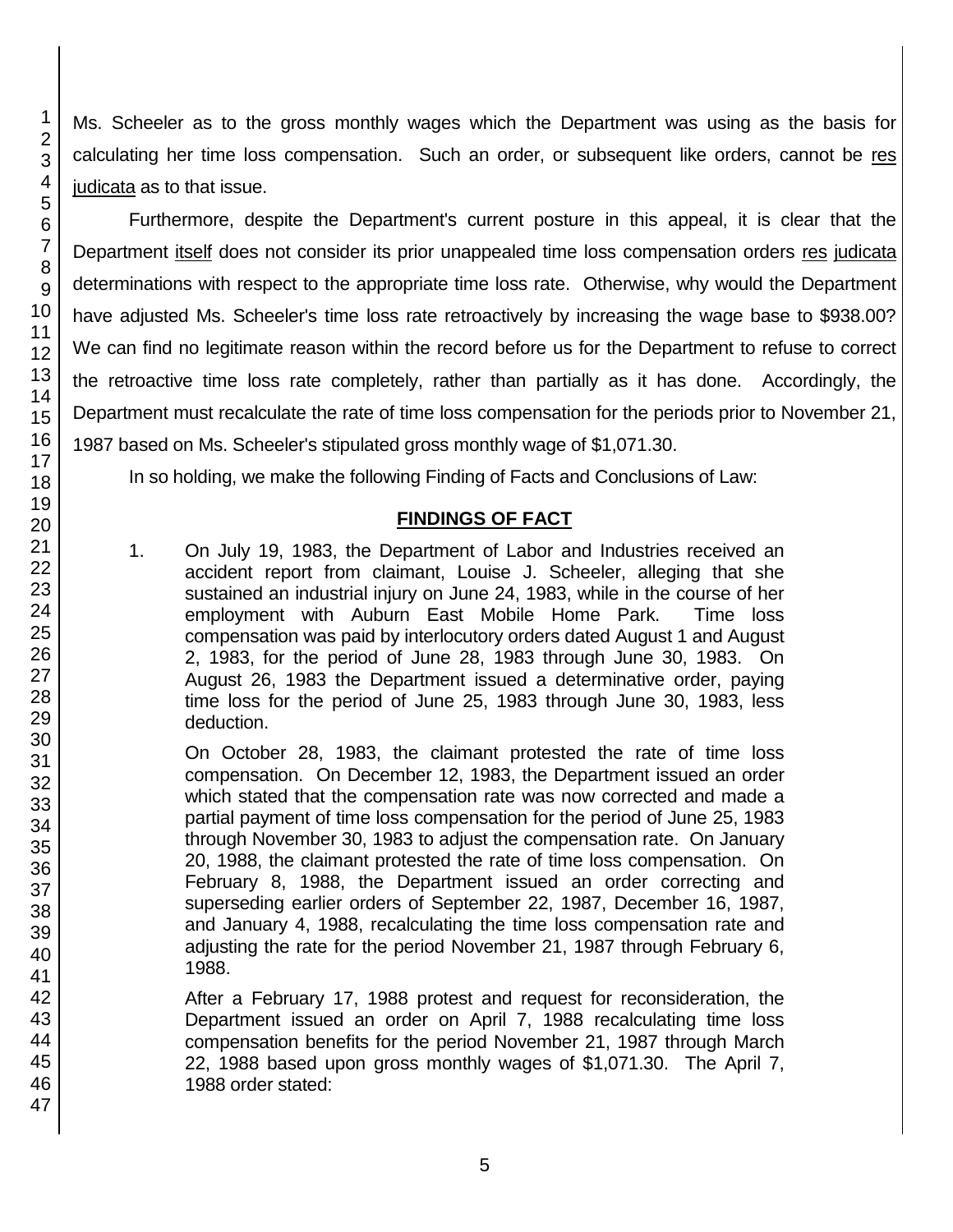Ms. Scheeler as to the gross monthly wages which the Department was using as the basis for calculating her time loss compensation. Such an order, or subsequent like orders, cannot be res judicata as to that issue.

Furthermore, despite the Department's current posture in this appeal, it is clear that the Department itself does not consider its prior unappealed time loss compensation orders res judicata determinations with respect to the appropriate time loss rate. Otherwise, why would the Department have adjusted Ms. Scheeler's time loss rate retroactively by increasing the wage base to \$938.00? We can find no legitimate reason within the record before us for the Department to refuse to correct the retroactive time loss rate completely, rather than partially as it has done. Accordingly, the Department must recalculate the rate of time loss compensation for the periods prior to November 21, 1987 based on Ms. Scheeler's stipulated gross monthly wage of \$1,071.30.

In so holding, we make the following Finding of Facts and Conclusions of Law:

## **FINDINGS OF FACT**

1. On July 19, 1983, the Department of Labor and Industries received an accident report from claimant, Louise J. Scheeler, alleging that she sustained an industrial injury on June 24, 1983, while in the course of her employment with Auburn East Mobile Home Park. Time loss compensation was paid by interlocutory orders dated August 1 and August 2, 1983, for the period of June 28, 1983 through June 30, 1983. On August 26, 1983 the Department issued a determinative order, paying time loss for the period of June 25, 1983 through June 30, 1983, less deduction.

On October 28, 1983, the claimant protested the rate of time loss compensation. On December 12, 1983, the Department issued an order which stated that the compensation rate was now corrected and made a partial payment of time loss compensation for the period of June 25, 1983 through November 30, 1983 to adjust the compensation rate. On January 20, 1988, the claimant protested the rate of time loss compensation. On February 8, 1988, the Department issued an order correcting and superseding earlier orders of September 22, 1987, December 16, 1987, and January 4, 1988, recalculating the time loss compensation rate and adjusting the rate for the period November 21, 1987 through February 6, 1988.

After a February 17, 1988 protest and request for reconsideration, the Department issued an order on April 7, 1988 recalculating time loss compensation benefits for the period November 21, 1987 through March 22, 1988 based upon gross monthly wages of \$1,071.30. The April 7, 1988 order stated: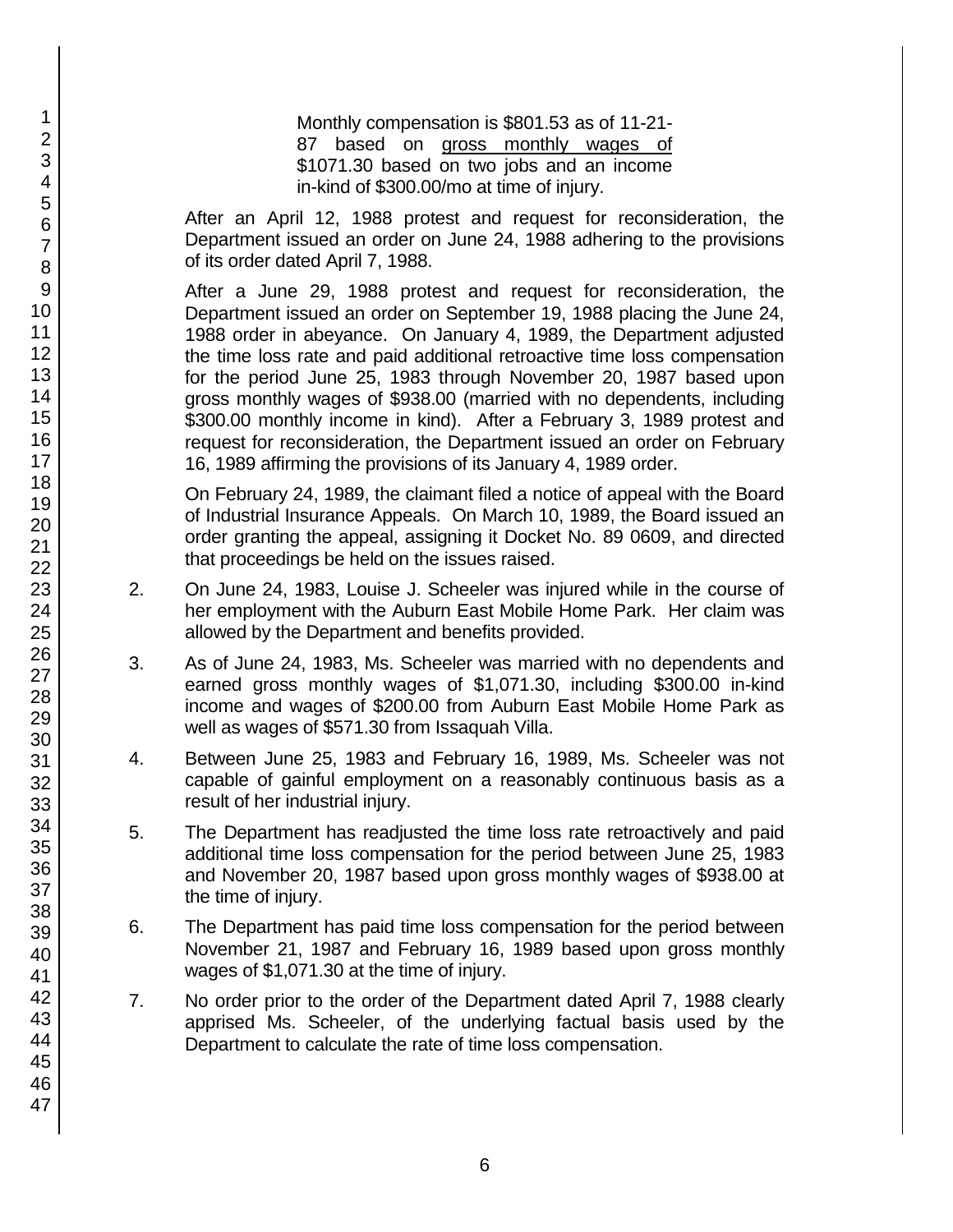Monthly compensation is \$801.53 as of 11-21- 87 based on gross monthly wages of \$1071.30 based on two jobs and an income in-kind of \$300.00/mo at time of injury.

After an April 12, 1988 protest and request for reconsideration, the Department issued an order on June 24, 1988 adhering to the provisions of its order dated April 7, 1988.

After a June 29, 1988 protest and request for reconsideration, the Department issued an order on September 19, 1988 placing the June 24, 1988 order in abeyance. On January 4, 1989, the Department adjusted the time loss rate and paid additional retroactive time loss compensation for the period June 25, 1983 through November 20, 1987 based upon gross monthly wages of \$938.00 (married with no dependents, including \$300.00 monthly income in kind). After a February 3, 1989 protest and request for reconsideration, the Department issued an order on February 16, 1989 affirming the provisions of its January 4, 1989 order.

On February 24, 1989, the claimant filed a notice of appeal with the Board of Industrial Insurance Appeals. On March 10, 1989, the Board issued an order granting the appeal, assigning it Docket No. 89 0609, and directed that proceedings be held on the issues raised.

- 2. On June 24, 1983, Louise J. Scheeler was injured while in the course of her employment with the Auburn East Mobile Home Park. Her claim was allowed by the Department and benefits provided.
- 3. As of June 24, 1983, Ms. Scheeler was married with no dependents and earned gross monthly wages of \$1,071.30, including \$300.00 in-kind income and wages of \$200.00 from Auburn East Mobile Home Park as well as wages of \$571.30 from Issaquah Villa.
- 4. Between June 25, 1983 and February 16, 1989, Ms. Scheeler was not capable of gainful employment on a reasonably continuous basis as a result of her industrial injury.
- 5. The Department has readjusted the time loss rate retroactively and paid additional time loss compensation for the period between June 25, 1983 and November 20, 1987 based upon gross monthly wages of \$938.00 at the time of injury.
- 6. The Department has paid time loss compensation for the period between November 21, 1987 and February 16, 1989 based upon gross monthly wages of \$1,071.30 at the time of injury.
- 7. No order prior to the order of the Department dated April 7, 1988 clearly apprised Ms. Scheeler, of the underlying factual basis used by the Department to calculate the rate of time loss compensation.

1